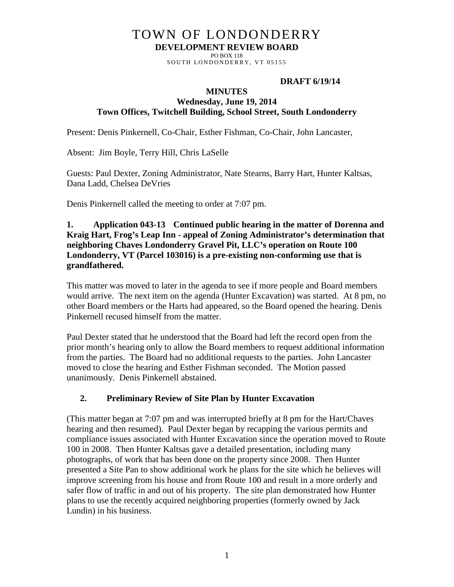# TOWN OF LONDONDERRY **DEVELOPMENT REVIEW BOARD**

PO BOX 118 SOUTH LONDONDERRY, VT 05155

### **DRAFT 6/19/14**

#### **MINUTES**

### **Wednesday, June 19, 2014 Town Offices, Twitchell Building, School Street, South Londonderry**

Present: Denis Pinkernell, Co-Chair, Esther Fishman, Co-Chair, John Lancaster,

Absent: Jim Boyle, Terry Hill, Chris LaSelle

Guests: Paul Dexter, Zoning Administrator, Nate Stearns, Barry Hart, Hunter Kaltsas, Dana Ladd, Chelsea DeVries

Denis Pinkernell called the meeting to order at 7:07 pm.

### **1. Application 043-13 Continued public hearing in the matter of Dorenna and Kraig Hart, Frog's Leap Inn - appeal of Zoning Administrator's determination that neighboring Chaves Londonderry Gravel Pit, LLC's operation on Route 100 Londonderry, VT (Parcel 103016) is a pre-existing non-conforming use that is grandfathered.**

This matter was moved to later in the agenda to see if more people and Board members would arrive. The next item on the agenda (Hunter Excavation) was started. At 8 pm, no other Board members or the Harts had appeared, so the Board opened the hearing. Denis Pinkernell recused himself from the matter.

Paul Dexter stated that he understood that the Board had left the record open from the prior month's hearing only to allow the Board members to request additional information from the parties. The Board had no additional requests to the parties. John Lancaster moved to close the hearing and Esther Fishman seconded. The Motion passed unanimously. Denis Pinkernell abstained.

## **2. Preliminary Review of Site Plan by Hunter Excavation**

(This matter began at 7:07 pm and was interrupted briefly at 8 pm for the Hart/Chaves hearing and then resumed). Paul Dexter began by recapping the various permits and compliance issues associated with Hunter Excavation since the operation moved to Route 100 in 2008. Then Hunter Kaltsas gave a detailed presentation, including many photographs, of work that has been done on the property since 2008. Then Hunter presented a Site Pan to show additional work he plans for the site which he believes will improve screening from his house and from Route 100 and result in a more orderly and safer flow of traffic in and out of his property. The site plan demonstrated how Hunter plans to use the recently acquired neighboring properties (formerly owned by Jack Lundin) in his business.